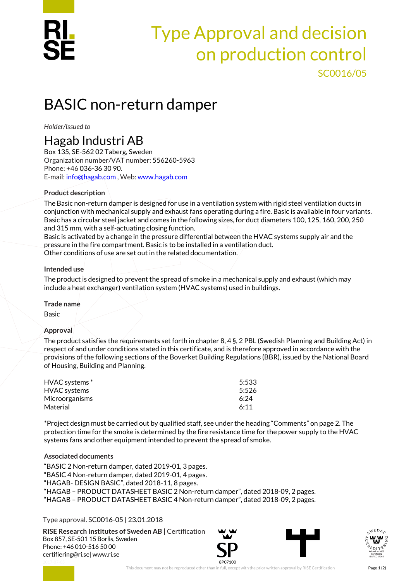

## Type Approval and decision on production control SC0016/05

# BASIC non-return damper

*Holder/Issued to* 

### Hagab Industri AB

Box 135, SE-562 02 Taberg, Sweden Organization number/VAT number: 556260-5963 Phone: +46 036-36 30 90. E-mail: [info@hagab.com](mailto:info@hagab.com) , Web[: www.hagab.com](http://www.hagab.com/)

#### **Product description**

The Basic non-return damper is designed for use in a ventilation system with rigid steel ventilation ducts in conjunction with mechanical supply and exhaust fans operating during a fire. Basic is available in four variants. Basic has a circular steel jacket and comes in the following sizes, for duct diameters 100, 125, 160, 200, 250 and 315 mm, with a self-actuating closing function.

Basic is activated by a change in the pressure differential between the HVAC systems supply air and the pressure in the fire compartment. Basic is to be installed in a ventilation duct.

Other conditions of use are set out in the related documentation.

#### **Intended use**

The product is designed to prevent the spread of smoke in a mechanical supply and exhaust (which may include a heat exchanger) ventilation system (HVAC systems) used in buildings.

#### **Trade name**

Basic

#### **Approval**

The product satisfies the requirements set forth in chapter 8, 4 §, 2 PBL (Swedish Planning and Building Act) in respect of and under conditions stated in this certificate, and is therefore approved in accordance with the provisions of the following sections of the Boverket Building Regulations (BBR), issued by the National Board of Housing, Building and Planning.

| HVAC systems*         | 5:533 |
|-----------------------|-------|
| HVAC systems          | 5:526 |
| <b>Microorganisms</b> | 6.24  |
| Material              | 6:11  |

\*Project design must be carried out by qualified staff, see under the heading "Comments" on page 2. The protection time for the smoke is determined by the fire resistance time for the power supply to the HVAC systems fans and other equipment intended to prevent the spread of smoke.

#### **Associated documents**

"BASIC 2 Non-return damper, dated 2019-01, 3 pages. "BASIC 4 Non-return damper, dated 2019-01, 4 pages. "HAGAB- DESIGN BASIC", dated 2018-11, 8 pages. "HAGAB – PRODUCT DATASHEET BASIC 2 Non-return damper", dated 2018-09, 2 pages. "HAGAB – PRODUCT DATASHEET BASIC 4 Non-return damper", dated 2018-09, 2 pages.

#### Type approval. SC0016-05 | 23.01.2018

**RISE Research Institutes of Sweden AB |** Certification Box 857, SE-501 15 Borås, Sweden Phone: +46 010-516 50 00 [certifiering@ri.se|](mailto:certifiering@ri.se) www.ri.se